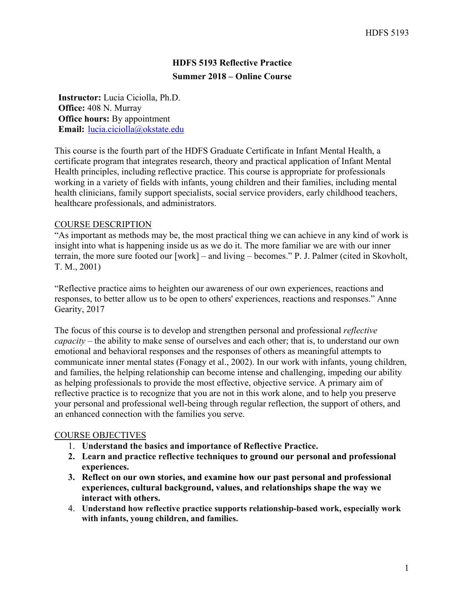# **HDFS 5193 Reflective Practice Summer 2018 – Online Course**

**Instructor:** Lucia Ciciolla, Ph.D. **Office:** 408 N. Murray **Office hours:** By appointment **Email:** [lucia.ciciolla@okstate.edu](mailto:lucia.ciciolla@okstate.edu)

This course is the fourth part of the HDFS Graduate Certificate in Infant Mental Health, a certificate program that integrates research, theory and practical application of Infant Mental Health principles, including reflective practice. This course is appropriate for professionals working in a variety of fields with infants, young children and their families, including mental health clinicians, family support specialists, social service providers, early childhood teachers, healthcare professionals, and administrators.

### COURSE DESCRIPTION

"As important as methods may be, the most practical thing we can achieve in any kind of work is insight into what is happening inside us as we do it. The more familiar we are with our inner terrain, the more sure footed our [work] – and living – becomes." P. J. Palmer (cited in Skovholt, T. M., 2001)

"Reflective practice aims to heighten our awareness of our own experiences, reactions and responses, to better allow us to be open to others' experiences, reactions and responses." Anne Gearity, 2017

The focus of this course is to develop and strengthen personal and professional *reflective capacity* – the ability to make sense of ourselves and each other; that is, to understand our own emotional and behavioral responses and the responses of others as meaningful attempts to communicate inner mental states (Fonagy et al., 2002). In our work with infants, young children, and families, the helping relationship can become intense and challenging, impeding our ability as helping professionals to provide the most effective, objective service. A primary aim of reflective practice is to recognize that you are not in this work alone, and to help you preserve your personal and professional well-being through regular reflection, the support of others, and an enhanced connection with the families you serve.

## COURSE OBJECTIVES

- 1. **Understand the basics and importance of Reflective Practice.**
- **2. Learn and practice reflective techniques to ground our personal and professional experiences.**
- **3. Reflect on our own stories, and examine how our past personal and professional experiences, cultural background, values, and relationships shape the way we interact with others.**
- 4. **Understand how reflective practice supports relationship-based work, especially work with infants, young children, and families.**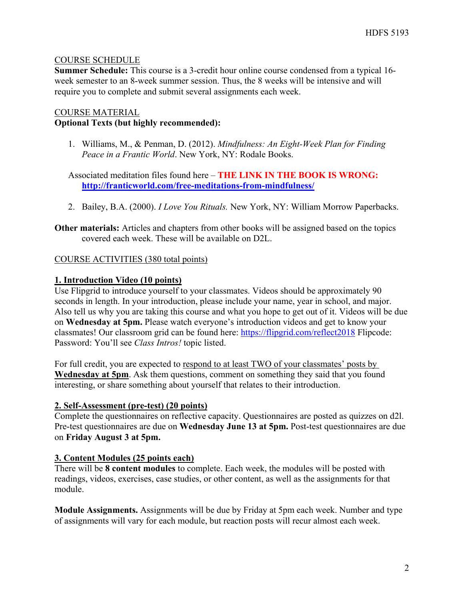## COURSE SCHEDULE

**Summer Schedule:** This course is a 3-credit hour online course condensed from a typical 16 week semester to an 8-week summer session. Thus, the 8 weeks will be intensive and will require you to complete and submit several assignments each week.

## COURSE MATERIAL **Optional Texts (but highly recommended):**

1. Williams, M., & Penman, D. (2012). *Mindfulness: An Eight-Week Plan for Finding Peace in a Frantic World*. New York, NY: Rodale Books.

Associated meditation files found here – **THE LINK IN THE BOOK IS WRONG: <http://franticworld.com/free-meditations-from-mindfulness/>**

- 2. Bailey, B.A. (2000). *I Love You Rituals.* New York, NY: William Morrow Paperbacks.
- **Other materials:** Articles and chapters from other books will be assigned based on the topics covered each week. These will be available on D2L.

### COURSE ACTIVITIES (380 total points)

## **1. Introduction Video (10 points)**

Use Flipgrid to introduce yourself to your classmates. Videos should be approximately 90 seconds in length. In your introduction, please include your name, year in school, and major. Also tell us why you are taking this course and what you hope to get out of it. Videos will be due on **Wednesday at 5pm.** Please watch everyone's introduction videos and get to know your classmates! Our classroom grid can be found here: <https://flipgrid.com/reflect2018> Flipcode: Password: You'll see *Class Intros!* topic listed.

For full credit, you are expected to respond to at least TWO of your classmates' posts by **Wednesday at 5pm**. Ask them questions, comment on something they said that you found interesting, or share something about yourself that relates to their introduction.

### **2. Self-Assessment (pre-test) (20 points)**

Complete the questionnaires on reflective capacity. Questionnaires are posted as quizzes on d2l. Pre-test questionnaires are due on **Wednesday June 13 at 5pm.** Post-test questionnaires are due on **Friday August 3 at 5pm.**

## **3. Content Modules (25 points each)**

There will be **8 content modules** to complete. Each week, the modules will be posted with readings, videos, exercises, case studies, or other content, as well as the assignments for that module.

**Module Assignments.** Assignments will be due by Friday at 5pm each week. Number and type of assignments will vary for each module, but reaction posts will recur almost each week.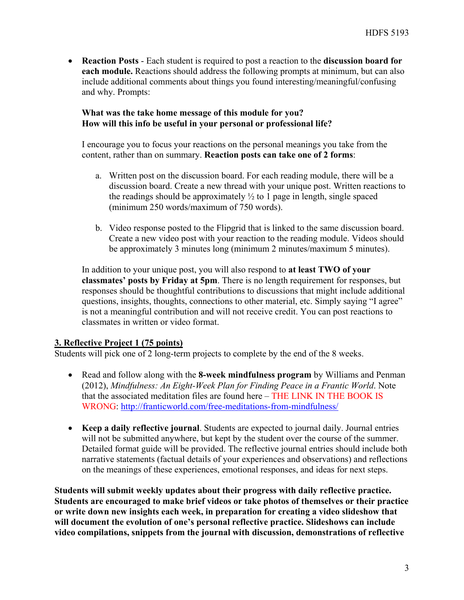• **Reaction Posts** - Each student is required to post a reaction to the **discussion board for each module.** Reactions should address the following prompts at minimum, but can also include additional comments about things you found interesting/meaningful/confusing and why. Prompts:

### **What was the take home message of this module for you? How will this info be useful in your personal or professional life?**

I encourage you to focus your reactions on the personal meanings you take from the content, rather than on summary. **Reaction posts can take one of 2 forms**:

- a. Written post on the discussion board. For each reading module, there will be a discussion board. Create a new thread with your unique post. Written reactions to the readings should be approximately  $\frac{1}{2}$  to 1 page in length, single spaced (minimum 250 words/maximum of 750 words).
- b. Video response posted to the Flipgrid that is linked to the same discussion board. Create a new video post with your reaction to the reading module. Videos should be approximately 3 minutes long (minimum 2 minutes/maximum 5 minutes).

In addition to your unique post, you will also respond to **at least TWO of your classmates' posts by Friday at 5pm**. There is no length requirement for responses, but responses should be thoughtful contributions to discussions that might include additional questions, insights, thoughts, connections to other material, etc. Simply saying "I agree" is not a meaningful contribution and will not receive credit. You can post reactions to classmates in written or video format.

## **3. Reflective Project 1 (75 points)**

Students will pick one of 2 long-term projects to complete by the end of the 8 weeks.

- Read and follow along with the **8-week mindfulness program** by Williams and Penman (2012), *Mindfulness: An Eight-Week Plan for Finding Peace in a Frantic World*. Note that the associated meditation files are found here – THE LINK IN THE BOOK IS WRONG:<http://franticworld.com/free-meditations-from-mindfulness/>
- **Keep a daily reflective journal**. Students are expected to journal daily. Journal entries will not be submitted anywhere, but kept by the student over the course of the summer. Detailed format guide will be provided. The reflective journal entries should include both narrative statements (factual details of your experiences and observations) and reflections on the meanings of these experiences, emotional responses, and ideas for next steps.

**Students will submit weekly updates about their progress with daily reflective practice. Students are encouraged to make brief videos or take photos of themselves or their practice or write down new insights each week, in preparation for creating a video slideshow that will document the evolution of one's personal reflective practice. Slideshows can include video compilations, snippets from the journal with discussion, demonstrations of reflective**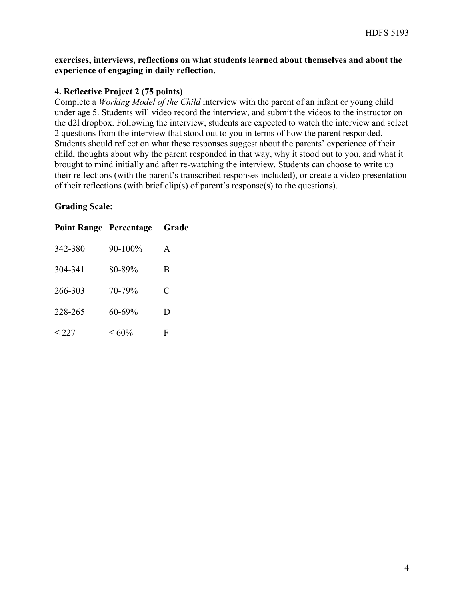**exercises, interviews, reflections on what students learned about themselves and about the experience of engaging in daily reflection.**

#### **4. Reflective Project 2 (75 points)**

Complete a *Working Model of the Child* interview with the parent of an infant or young child under age 5. Students will video record the interview, and submit the videos to the instructor on the d2l dropbox. Following the interview, students are expected to watch the interview and select 2 questions from the interview that stood out to you in terms of how the parent responded. Students should reflect on what these responses suggest about the parents' experience of their child, thoughts about why the parent responded in that way, why it stood out to you, and what it brought to mind initially and after re-watching the interview. Students can choose to write up their reflections (with the parent's transcribed responses included), or create a video presentation of their reflections (with brief clip(s) of parent's response(s) to the questions).

#### **Grading Scale:**

| <b>Point Range Percentage</b> |           | Grade |
|-------------------------------|-----------|-------|
| 342-380                       | 90-100%   | A     |
| 304-341                       | 80-89%    | B     |
| 266-303                       | 70-79%    | C     |
| 228-265                       | 60-69%    | D     |
| < 227                         | ${}<60\%$ | F     |